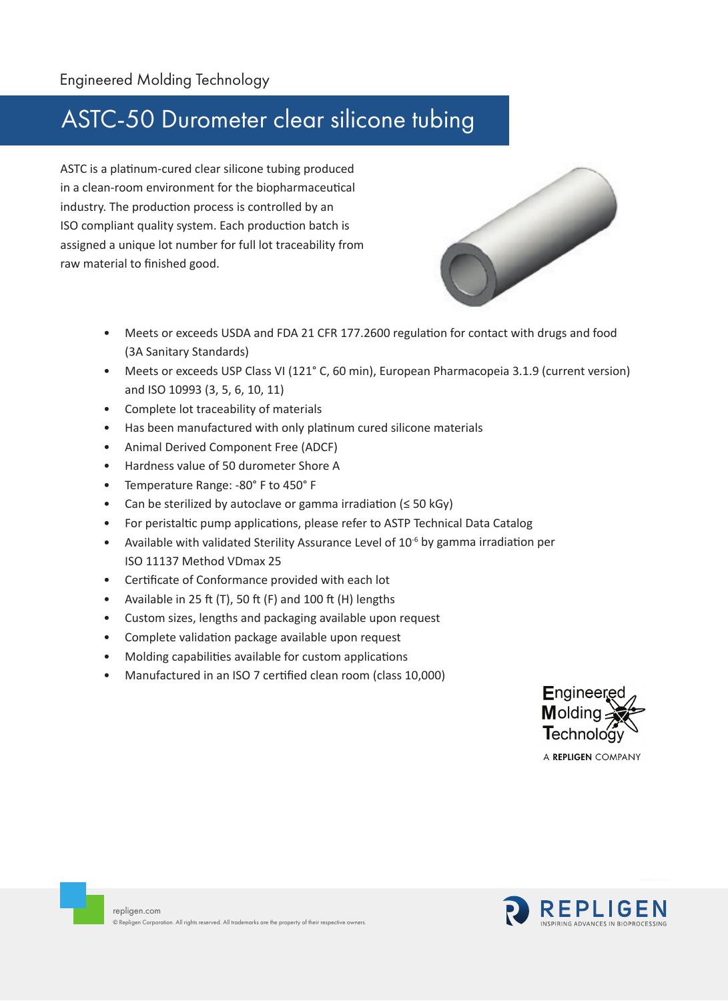## ASTC-50 Durometer clear silicone tubing

ASTC is a platinum-cured clear silicone tubing produced in a clean-room environment for the biopharmaceutical industry. The production process is controlled by an ISO compliant quality system. Each production batch is assigned a unique lot number for full lot traceability from raw material to finished good.



- Meets or exceeds USDA and FDA 21 CFR 177.2600 regulation for contact with drugs and food (3A Sanitary Standards)
- Meets or exceeds USP Class VI (121° C, 60 min), European Pharmacopeia 3.1.9 (current version) and ISO 10993 (3, 5, 6, 10, 11)
- Complete lot traceability of materials
- Has been manufactured with only platinum cured silicone materials
- Animal Derived Component Free (ADCF)
- Hardness value of 50 durometer Shore A
- Temperature Range: -80° F to 450° F
- Can be sterilized by autoclave or gamma irradiation ( $\leq$  50 kGy)
- For peristaltic pump applications, please refer to ASTP Technical Data Catalog
- Available with validated Sterility Assurance Level of  $10^{-6}$  by gamma irradiation per ISO 11137 Method VDmax 25
- Certificate of Conformance provided with each lot
- Available in 25 ft (T), 50 ft (F) and 100 ft (H) lengths
- Custom sizes, lengths and packaging available upon request
- Complete validation package available upon request
- Molding capabilities available for custom applications
- Manufactured in an ISO 7 certified clean room (class 10,000)



A REPLIGEN COMPANY